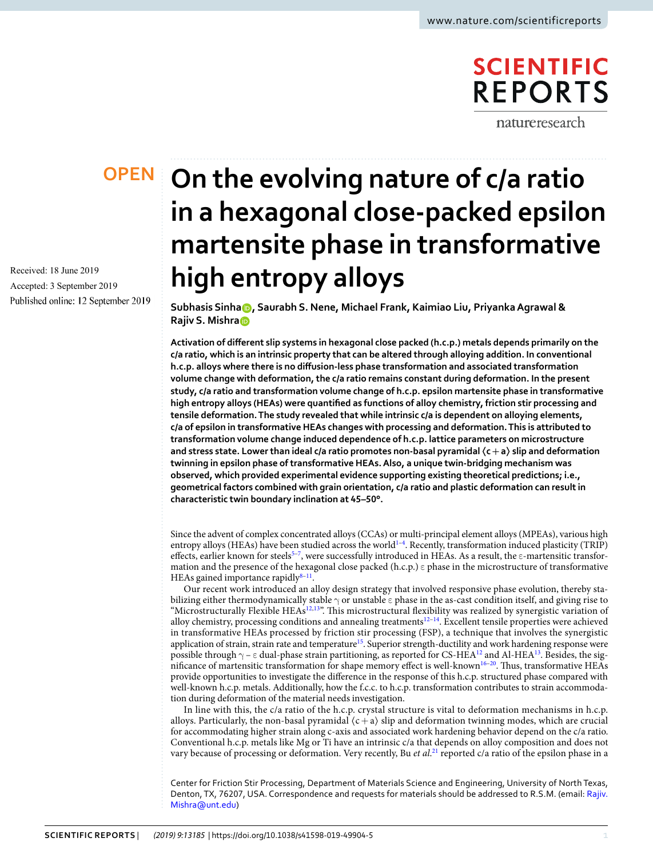# **SCIENTIFIC REPORTS**

natureresearch

Received: 18 June 2019 Accepted: 3 September 2019 Published online: 12 September 2019

# **On the evolving nature of c/a ratio OPENin a hexagonal close-packed epsilon martensite phase in transformative high entropy alloys**

**Subhasis Sinha [,](http://orcid.org/0000-0002-0321-1888) Saurabh S. Nene, Michael Frank, Kaimiao Liu, Priyanka Agrawal & Rajiv S. Mishra**

**Activation of different slip systems in hexagonal close packed (h.c.p.) metals depends primarily on the c/a ratio, which is an intrinsic property that can be altered through alloying addition. In conventional h.c.p. alloys where there is no diffusion-less phase transformation and associated transformation volume change with deformation, the c/a ratio remains constant during deformation. In the present study, c/a ratio and transformation volume change of h.c.p. epsilon martensite phase in transformative high entropy alloys (HEAs) were quantified as functions of alloy chemistry, friction stir processing and tensile deformation. The study revealed that while intrinsic c/a is dependent on alloying elements, c/a of epsilon in transformative HEAs changes with processing and deformation. This is attributed to transformation volume change induced dependence of h.c.p. lattice parameters on microstructure and stress state. Lower than ideal c/a ratio promotes non-basal pyramidal 〈c + a〉 slip and deformation twinning in epsilon phase of transformative HEAs. Also, a unique twin-bridging mechanism was observed, which provided experimental evidence supporting existing theoretical predictions; i.e., geometrical factors combined with grain orientation, c/a ratio and plastic deformation can result in characteristic twin boundary inclination at 45–50°.**

Since the advent of complex concentrated alloys (CCAs) or multi-principal element alloys (MPEAs), various high entropy alloys (HEAs) have been studied across the world<sup>1-[4](#page-11-1)</sup>. Recently, transformation induced plasticity (TRIP) effects, earlier known for steels<sup>5-[7](#page-11-3)</sup>, were successfully introduced in HEAs. As a result, the ε-martensitic transformation and the presence of the hexagonal close packed (h.c.p.) ε phase in the microstructure of transformative HEAs gained importance rapidly<sup>[8](#page-11-4)-11</sup>.

Our recent work introduced an alloy design strategy that involved responsive phase evolution, thereby stabilizing either thermodynamically stable  $\gamma$  or unstable  $\varepsilon$  phase in the as-cast condition itself, and giving rise to "Microstructurally Flexible HEAs<sup>[12,](#page-11-6)[13](#page-11-7)</sup>". This microstructural flexibility was realized by synergistic variation of alloy chemistry, processing conditions and annealing treatments<sup>[12](#page-11-6)[–14](#page-11-8)</sup>. Excellent tensile properties were achieved in transformative HEAs processed by friction stir processing (FSP), a technique that involves the synergistic application of strain, strain rate and temperature<sup>[15](#page-11-9)</sup>. Superior strength-ductility and work hardening response were possible through  $\gamma - \epsilon$  dual-phase strain partitioning, as reported for CS-HEA<sup>[12](#page-11-6)</sup> and Al-HEA<sup>[13](#page-11-7)</sup>. Besides, the sig-nificance of martensitic transformation for shape memory effect is well-known<sup>16-[20](#page-11-11)</sup>. Thus, transformative HEAs provide opportunities to investigate the difference in the response of this h.c.p. structured phase compared with well-known h.c.p. metals. Additionally, how the f.c.c. to h.c.p. transformation contributes to strain accommodation during deformation of the material needs investigation.

In line with this, the c/a ratio of the h.c.p. crystal structure is vital to deformation mechanisms in h.c.p. alloys. Particularly, the non-basal pyramidal  $\langle c + a \rangle$  slip and deformation twinning modes, which are crucial for accommodating higher strain along c-axis and associated work hardening behavior depend on the c/a ratio. Conventional h.c.p. metals like Mg or Ti have an intrinsic c/a that depends on alloy composition and does not vary because of processing or deformation. Very recently, Bu et al.<sup>[21](#page-11-12)</sup> reported c/a ratio of the epsilon phase in a

Center for Friction Stir Processing, Department of Materials Science and Engineering, University of North Texas, Denton, TX, 76207, USA. Correspondence and requests for materials should be addressed to R.S.M. (email: [Rajiv.](mailto:Rajiv.Mishra@unt.edu) [Mishra@unt.edu](mailto:Rajiv.Mishra@unt.edu))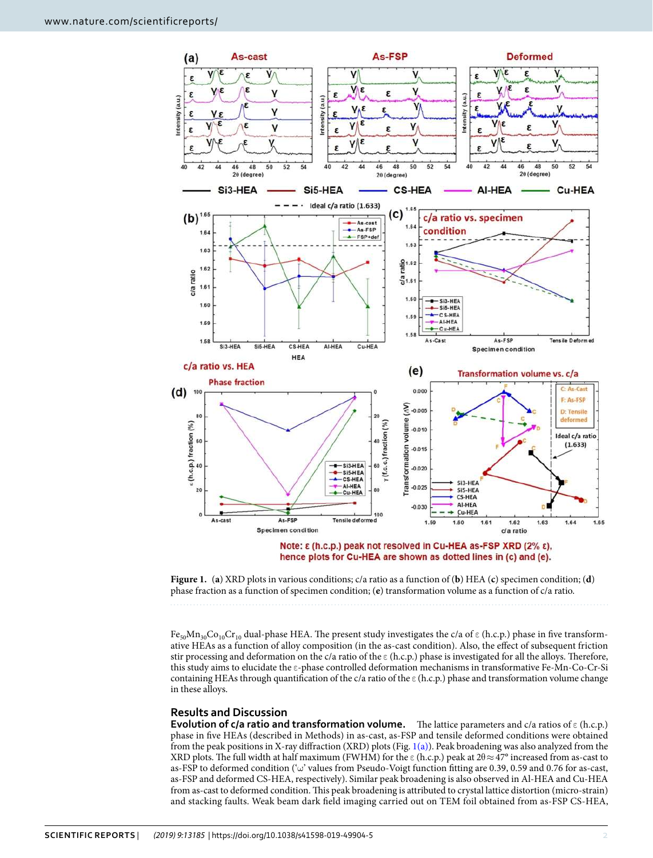

<span id="page-1-0"></span>**Figure 1.** (**a**) XRD plots in various conditions; c/a ratio as a function of (**b**) HEA (**c**) specimen condition; (**d**) phase fraction as a function of specimen condition; (**e**) transformation volume as a function of c/a ratio.

Fe<sub>50</sub>Mn<sub>30</sub>Co<sub>10</sub>Cr<sub>10</sub> dual-phase HEA. The present study investigates the c/a of  $\epsilon$  (h.c.p.) phase in five transformative HEAs as a function of alloy composition (in the as-cast condition). Also, the effect of subsequent friction stir processing and deformation on the c/a ratio of the ε (h.c.p.) phase is investigated for all the alloys. Therefore, this study aims to elucidate the ε-phase controlled deformation mechanisms in transformative Fe-Mn-Co-Cr-Si containing HEAs through quantification of the c/a ratio of the  $\varepsilon$  (h.c.p.) phase and transformation volume change in these alloys.

# **Results and Discussion**

**Evolution of c/a ratio and transformation volume.** The lattice parameters and c/a ratios of ε (h.c.p.) phase in five HEAs (described in Methods) in as-cast, as-FSP and tensile deformed conditions were obtained from the peak positions in X-ray diffraction (XRD) plots (Fig. [1\(a\)\)](#page-1-0). Peak broadening was also analyzed from the XRD plots. The full width at half maximum (FWHM) for the  $\varepsilon$  (h.c.p.) peak at  $2\theta \approx 47^\circ$  increased from as-cast to as-FSP to deformed condition ('ω' values from Pseudo-Voigt function fitting are 0.39, 0.59 and 0.76 for as-cast, as-FSP and deformed CS-HEA, respectively). Similar peak broadening is also observed in Al-HEA and Cu-HEA from as-cast to deformed condition. This peak broadening is attributed to crystal lattice distortion (micro-strain) and stacking faults. Weak beam dark field imaging carried out on TEM foil obtained from as-FSP CS-HEA,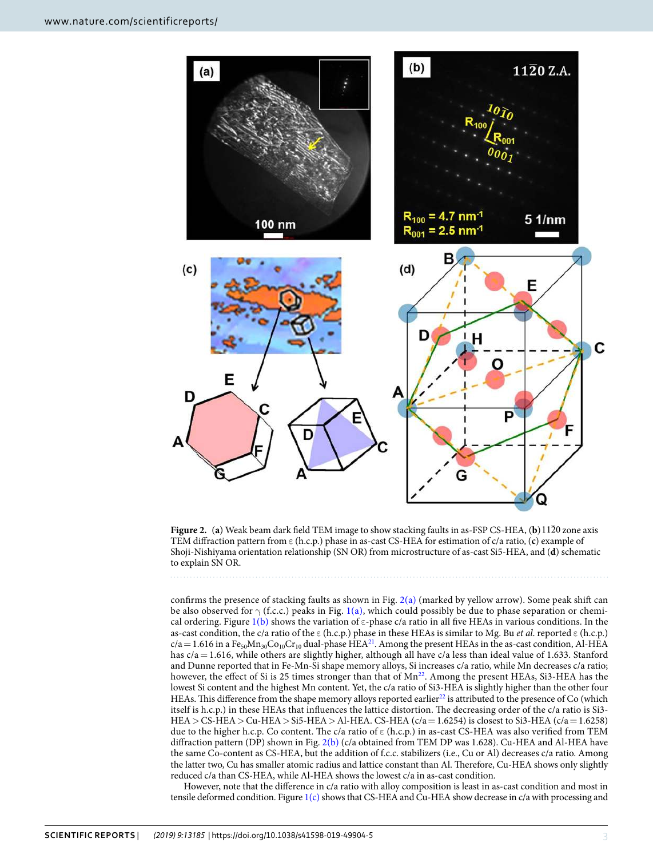

<span id="page-2-0"></span>**Figure 2.** (**a**) Weak beam dark field TEM image to show stacking faults in as-FSP CS-HEA, (**b**) 1120 zone axis TEM diffraction pattern from ε (h.c.p.) phase in as-cast CS-HEA for estimation of c/a ratio, (**c**) example of Shoji-Nishiyama orientation relationship (SN OR) from microstructure of as-cast Si5-HEA, and (**d**) schematic to explain SN OR.

confirms the presence of stacking faults as shown in Fig.  $2(a)$  (marked by yellow arrow). Some peak shift can be also observed for  $\gamma$  (f.c.c.) peaks in Fig. [1\(a\),](#page-1-0) which could possibly be due to phase separation or chemi-cal ordering. Figure [1\(b\)](#page-1-0) shows the variation of  $\varepsilon$ -phase c/a ratio in all five HEAs in various conditions. In the as-cast condition, the c/a ratio of the  $\varepsilon$  (h.c.p.) phase in these HEAs is similar to Mg. Bu *et al.* reported  $\varepsilon$  (h.c.p.)  $c/a = 1.616$  in a Fe<sub>50</sub>Mn<sub>30</sub>Co<sub>10</sub>Cr<sub>10</sub> dual-phase HEA<sup>[21](#page-11-12)</sup>. Among the present HEAs in the as-cast condition, Al-HEA has  $c/a = 1.616$ , while others are slightly higher, although all have  $c/a$  less than ideal value of 1.633. Stanford and Dunne reported that in Fe-Mn-Si shape memory alloys, Si increases c/a ratio, while Mn decreases c/a ratio; however, the effect of Si is 25 times stronger than that of  $Mn^{22}$  $Mn^{22}$  $Mn^{22}$ . Among the present HEAs, Si3-HEA has the lowest Si content and the highest Mn content. Yet, the c/a ratio of Si3-HEA is slightly higher than the other four HEAs. This difference from the shape memory alloys reported earlier<sup>[22](#page-11-13)</sup> is attributed to the presence of Co (which itself is h.c.p.) in these HEAs that influences the lattice distortion. The decreasing order of the c/a ratio is Si3-  $HEA > CS-HEA > Cu-HEA > Si5-HEA > Al-HEA$ . CS-HEA (c/a = 1.6254) is closest to Si3-HEA (c/a = 1.6258) due to the higher h.c.p. Co content. The c/a ratio of ε (h.c.p.) in as-cast CS-HEA was also verified from TEM diffraction pattern (DP) shown in Fig. [2\(b\)](#page-2-0) (c/a obtained from TEM DP was 1.628). Cu-HEA and Al-HEA have the same Co-content as CS-HEA, but the addition of f.c.c. stabilizers (i.e., Cu or Al) decreases c/a ratio. Among the latter two, Cu has smaller atomic radius and lattice constant than Al. Therefore, Cu-HEA shows only slightly reduced c/a than CS-HEA, while Al-HEA shows the lowest c/a in as-cast condition.

However, note that the difference in c/a ratio with alloy composition is least in as-cast condition and most in tensile deformed condition. Figure [1\(c\)](#page-1-0) shows that CS-HEA and Cu-HEA show decrease in c/a with processing and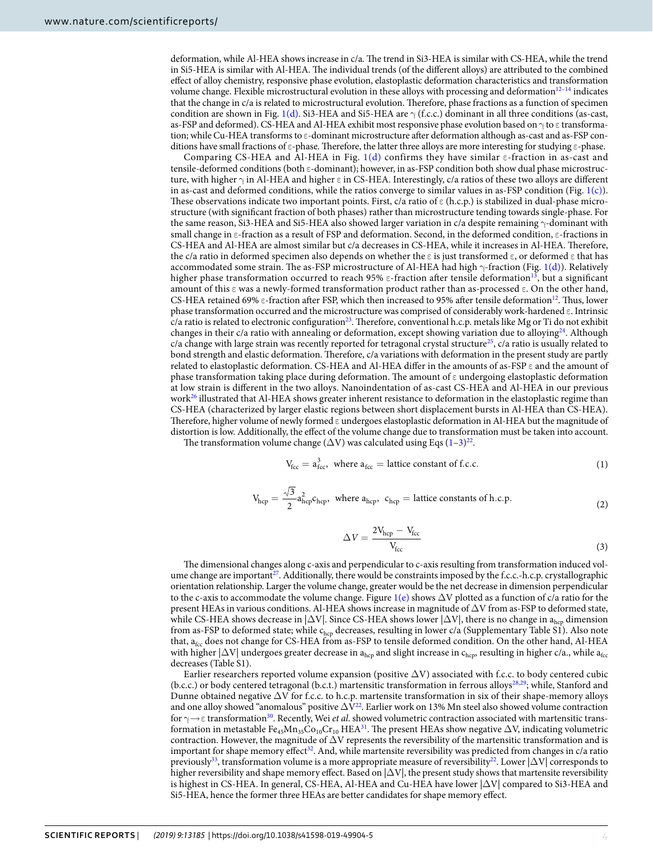deformation, while Al-HEA shows increase in c/a. The trend in Si3-HEA is similar with CS-HEA, while the trend in Si5-HEA is similar with Al-HEA. The individual trends (of the different alloys) are attributed to the combined effect of alloy chemistry, responsive phase evolution, elastoplastic deformation characteristics and transformation volume change. Flexible microstructural evolution in these alloys with processing and deformation<sup>[12](#page-11-6)[–14](#page-11-8)</sup> indicates that the change in c/a is related to microstructural evolution. Therefore, phase fractions as a function of specimen condition are shown in Fig. [1\(d\)](#page-1-0). Si3-HEA and Si5-HEA are  $\gamma$  (f.c.c.) dominant in all three conditions (as-cast, as-FSP and deformed). CS-HEA and Al-HEA exhibit most responsive phase evolution based on  $\gamma$  to  $\varepsilon$  transformation; while Cu-HEA transforms to ε-dominant microstructure after deformation although as-cast and as-FSP conditions have small fractions of ε-phase. Therefore, the latter three alloys are more interesting for studying ε-phase.

Comparing CS-HEA and Al-HEA in Fig.  $1(d)$  confirms they have similar  $\epsilon$ -fraction in as-cast and tensile-deformed conditions (both ε-dominant); however, in as-FSP condition both show dual phase microstructure, with higher  $\gamma$  in Al-HEA and higher ε in CS-HEA. Interestingly, c/a ratios of these two alloys are different in as-cast and deformed conditions, while the ratios converge to similar values in as-FSP condition (Fig.  $1(c)$ ). These observations indicate two important points. First,  $c/a$  ratio of  $\epsilon$  (h.c.p.) is stabilized in dual-phase microstructure (with significant fraction of both phases) rather than microstructure tending towards single-phase. For the same reason, Si3-HEA and Si5-HEA also showed larger variation in c/a despite remaining γ-dominant with small change in ε-fraction as a result of FSP and deformation. Second, in the deformed condition, ε-fractions in CS-HEA and Al-HEA are almost similar but c/a decreases in CS-HEA, while it increases in Al-HEA. Therefore, the c/a ratio in deformed specimen also depends on whether the  $\varepsilon$  is just transformed  $\varepsilon$ , or deformed  $\varepsilon$  that has accommodated some strain. The as-FSP microstructure of Al-HEA had high  $\gamma$ -fraction (Fig. [1\(d\)\)](#page-1-0). Relatively higher phase transformation occurred to reach 95%  $\varepsilon$ -fraction after tensile deformation<sup>[13](#page-11-7)</sup>, but a significant amount of this ε was a newly-formed transformation product rather than as-processed ε. On the other hand, CS-HEA retained 69%  $\epsilon$ -fraction after FSP, which then increased to 95% after tensile deformation<sup>[12](#page-11-6)</sup>. Thus, lower phase transformation occurred and the microstructure was comprised of considerably work-hardened ε. Intrinsic c/a ratio is related to electronic configuration<sup>[23](#page-11-14)</sup>. Therefore, conventional h.c.p. metals like Mg or Ti do not exhibit changes in their c/a ratio with annealing or deformation, except showing variation due to alloying<sup>[24](#page-12-0)</sup>. Although  $c/a$  change with large strain was recently reported for tetragonal crystal structure<sup>[25](#page-12-1)</sup>,  $c/a$  ratio is usually related to bond strength and elastic deformation. Therefore, c/a variations with deformation in the present study are partly related to elastoplastic deformation. CS-HEA and Al-HEA differ in the amounts of as-FSP ε and the amount of phase transformation taking place during deformation. The amount of  $\varepsilon$  undergoing elastoplastic deformation at low strain is different in the two alloys. Nanoindentation of as-cast CS-HEA and Al-HEA in our previous work<sup>[26](#page-12-2)</sup> illustrated that Al-HEA shows greater inherent resistance to deformation in the elastoplastic regime than CS-HEA (characterized by larger elastic regions between short displacement bursts in Al-HEA than CS-HEA). Therefore, higher volume of newly formed ε undergoes elastoplastic deformation in Al-HEA but the magnitude of distortion is low. Additionally, the effect of the volume change due to transformation must be taken into account.

<span id="page-3-0"></span>The transformation volume change ( $\Delta$ V) was calculated using Eqs [\(1–](#page-3-0)[3\)](#page-3-1)<sup>[22](#page-11-13)</sup>.

$$
V_{\text{fcc}} = a_{\text{fcc}}^3
$$
, where  $a_{\text{fcc}} =$  lattice constant of f.c.c. (1)

$$
V_{\text{hcp}} = \frac{\sqrt{3}}{2} a_{\text{hcp}}^2 c_{\text{hcp}}, \text{ where } a_{\text{hcp}}, c_{\text{hcp}} = \text{lattice constants of h.c.p.}
$$
 (2)

$$
\Delta V = \frac{2V_{\text{hcp}} - V_{\text{fcc}}}{V_{\text{fcc}}}
$$
\n(3)

<span id="page-3-1"></span>The dimensional changes along c-axis and perpendicular to c-axis resulting from transformation induced vol-ume change are important<sup>[27](#page-12-3)</sup>. Additionally, there would be constraints imposed by the f.c.c.-h.c.p. crystallographic orientation relationship. Larger the volume change, greater would be the net decrease in dimension perpendicular to the c-axis to accommodate the volume change. Figure [1\(e\)](#page-1-0) shows  $\Delta V$  plotted as a function of c/a ratio for the present HEAs in various conditions. Al-HEA shows increase in magnitude of ∆V from as-FSP to deformed state, while CS-HEA shows decrease in  $|\Delta V|$ . Since CS-HEA shows lower  $|\Delta V|$ , there is no change in a<sub>hcp</sub> dimension from as-FSP to deformed state; while  $c_{\text{hcp}}$  decreases, resulting in lower c/a (Supplementary Table S1). Also note that, a<sub>fcc</sub> does not change for CS-HEA from as-FSP to tensile deformed condition. On the other hand, Al-HEA with higher  $|\Delta V|$  undergoes greater decrease in  $a_{hcp}$  and slight increase in  $c_{hcp}$ , resulting in higher c/a., while  $a_{fcc}$ decreases (Table S1).

Earlier researchers reported volume expansion (positive ∆V) associated with f.c.c. to body centered cubic (b.c.c.) or body centered tetragonal (b.c.t.) martensitic transformation in ferrous alloys[28](#page-12-4)[,29](#page-12-5); while, Stanford and Dunne obtained negative ∆V for f.c.c. to h.c.p. martensite transformation in six of their shape-memory alloys and one alloy showed "anomalous" positive ∆V[22](#page-11-13). Earlier work on 13% Mn steel also showed volume contraction for  $\gamma \rightarrow \epsilon$  transformation<sup>[30](#page-12-6)</sup>. Recently, Wei *et al.* showed volumetric contraction associated with martensitic trans-formation in metastable Fe<sub>45</sub>Mn<sub>35</sub>Co<sub>10</sub>Cr<sub>10</sub> HEA<sup>[31](#page-12-7)</sup>. The present HEAs show negative ∆V, indicating volumetric contraction. However, the magnitude of ∆V represents the reversibility of the martensitic transformation and is important for shape memory effect<sup>[32](#page-12-8)</sup>. And, while martensite reversibility was predicted from changes in  $c/a$  ratio previously<sup>[33](#page-12-9)</sup>, transformation volume is a more appropriate measure of reversibility<sup>[22](#page-11-13)</sup>. Lower  $|\Delta V|$  corresponds to higher reversibility and shape memory effect. Based on |∆V|, the present study shows that martensite reversibility is highest in CS-HEA. In general, CS-HEA, Al-HEA and Cu-HEA have lower |∆V| compared to Si3-HEA and Si5-HEA, hence the former three HEAs are better candidates for shape memory effect.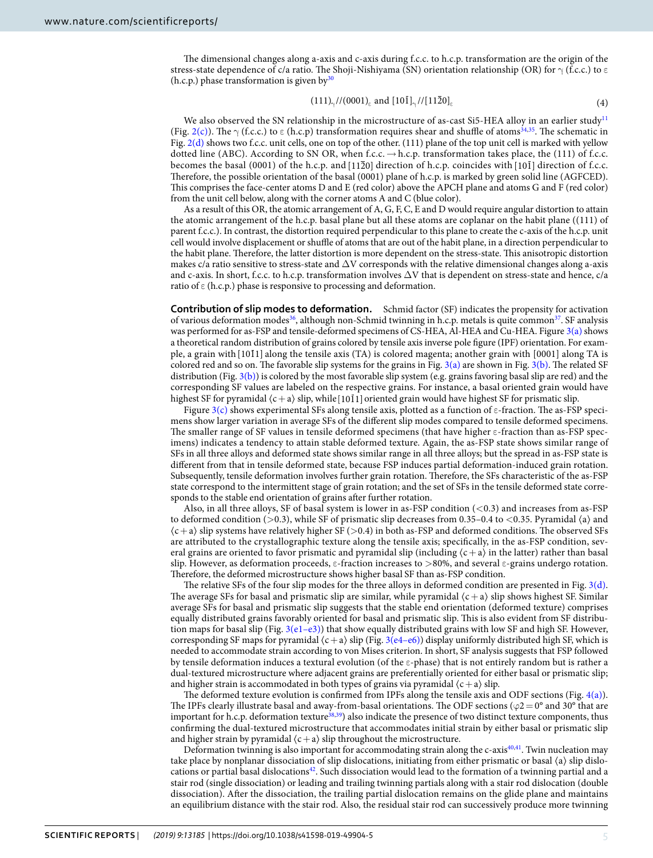The dimensional changes along a-axis and c-axis during f.c.c. to h.c.p. transformation are the origin of the stress-state dependence of c/a ratio. The Shoji-Nishiyama (SN) orientation relationship (OR) for  $\gamma$  (f.c.c.) to  $\varepsilon$ (h.c.p.) phase transformation is given by  $30$ 

$$
(111)_{\gamma}/\mathcal{N}(0001)_{\epsilon} \text{ and } [10\bar{1}]_{\gamma}/\mathcal{N}[11\bar{2}0]_{\epsilon} \tag{4}
$$

We also observed the SN relationship in the microstructure of as-cast Si5-HEA alloy in an earlier study<sup>[11](#page-11-5)</sup> (Fig. [2\(c\)\)](#page-2-0). The  $\gamma$  (f.c.c.) to  $\varepsilon$  (h.c.p) transformation requires shear and shuffle of atoms<sup>[34,](#page-12-10)[35](#page-12-11)</sup>. The schematic in Fig. [2\(d\)](#page-2-0) shows two f.c.c. unit cells, one on top of the other. (111) plane of the top unit cell is marked with yellow dotted line (ABC). According to SN OR, when f.c.c. → h.c.p. transformation takes place, the (111) of f.c.c. becomes the basal (0001) of the h.c.p. and [1120] direction of h.c.p. coincides with [101] direction of f.c.c. Therefore, the possible orientation of the basal (0001) plane of h.c.p. is marked by green solid line (AGFCED). This comprises the face-center atoms D and E (red color) above the APCH plane and atoms G and F (red color) from the unit cell below, along with the corner atoms A and C (blue color).

As a result of this OR, the atomic arrangement of A, G, F, C, E and D would require angular distortion to attain the atomic arrangement of the h.c.p. basal plane but all these atoms are coplanar on the habit plane ((111) of parent f.c.c.). In contrast, the distortion required perpendicular to this plane to create the c-axis of the h.c.p. unit cell would involve displacement or shuffle of atoms that are out of the habit plane, in a direction perpendicular to the habit plane. Therefore, the latter distortion is more dependent on the stress-state. This anisotropic distortion makes c/a ratio sensitive to stress-state and ∆V corresponds with the relative dimensional changes along a-axis and c-axis. In short, f.c.c. to h.c.p. transformation involves ∆V that is dependent on stress-state and hence, c/a ratio of  $\varepsilon$  (h.c.p.) phase is responsive to processing and deformation.

**Contribution of slip modes to deformation.** Schmid factor (SF) indicates the propensity for activation of various deformation modes<sup>[36](#page-12-12)</sup>, although non-Schmid twinning in h.c.p. metals is quite common<sup>[37](#page-12-13)</sup>. SF analysis was performed for as-FSP and tensile-deformed specimens of CS-HEA, Al-HEA and Cu-HEA. Figure [3\(a\)](#page-5-0) shows a theoretical random distribution of grains colored by tensile axis inverse pole figure (IPF) orientation. For example, a grain with [1011] along the tensile axis (TA) is colored magenta; another grain with [0001] along TA is colored red and so on. The favorable slip systems for the grains in Fig.  $3(a)$  are shown in Fig.  $3(b)$ . The related SF distribution (Fig. [3\(b\)](#page-5-0)) is colored by the most favorable slip system (e.g. grains favoring basal slip are red) and the corresponding SF values are labeled on the respective grains. For instance, a basal oriented grain would have highest SF for pyramidal  $\langle c + a \rangle$  slip, while [1011] oriented grain would have highest SF for prismatic slip.

Figure [3\(c\)](#page-5-0) shows experimental SFs along tensile axis, plotted as a function of  $\epsilon$ -fraction. The as-FSP specimens show larger variation in average SFs of the different slip modes compared to tensile deformed specimens. The smaller range of SF values in tensile deformed specimens (that have higher ε-fraction than as-FSP specimens) indicates a tendency to attain stable deformed texture. Again, the as-FSP state shows similar range of SFs in all three alloys and deformed state shows similar range in all three alloys; but the spread in as-FSP state is different from that in tensile deformed state, because FSP induces partial deformation-induced grain rotation. Subsequently, tensile deformation involves further grain rotation. Therefore, the SFs characteristic of the as-FSP state correspond to the intermittent stage of grain rotation; and the set of SFs in the tensile deformed state corresponds to the stable end orientation of grains after further rotation.

Also, in all three alloys, SF of basal system is lower in as-FSP condition  $(<0.3$ ) and increases from as-FSP to deformed condition (>0.3), while SF of prismatic slip decreases from 0.35–0.4 to <0.35. Pyramidal  $\langle a \rangle$  and  $\langle c + a \rangle$  slip systems have relatively higher SF (>0.4) in both as-FSP and deformed conditions. The observed SFs are attributed to the crystallographic texture along the tensile axis; specifically, in the as-FSP condition, several grains are oriented to favor prismatic and pyramidal slip (including  $\langle c + a \rangle$  in the latter) rather than basal slip. However, as deformation proceeds, ε-fraction increases to >80%, and several ε-grains undergo rotation. Therefore, the deformed microstructure shows higher basal SF than as-FSP condition.

The relative SFs of the four slip modes for the three alloys in deformed condition are presented in Fig. [3\(d\).](#page-5-0) The average SFs for basal and prismatic slip are similar, while pyramidal  $\langle c + a \rangle$  slip shows highest SF. Similar average SFs for basal and prismatic slip suggests that the stable end orientation (deformed texture) comprises equally distributed grains favorably oriented for basal and prismatic slip. This is also evident from SF distribution maps for basal slip (Fig.  $3(e1-e3)$ ) that show equally distributed grains with low SF and high SF. However, corresponding SF maps for pyramidal  $\langle c + a \rangle$  slip (Fig. [3\(e4–e6\)](#page-5-0)) display uniformly distributed high SF, which is needed to accommodate strain according to von Mises criterion. In short, SF analysis suggests that FSP followed by tensile deformation induces a textural evolution (of the  $\varepsilon$ -phase) that is not entirely random but is rather a dual-textured microstructure where adjacent grains are preferentially oriented for either basal or prismatic slip; and higher strain is accommodated in both types of grains via pyramidal  $\langle c + a \rangle$  slip.

The deformed texture evolution is confirmed from IPFs along the tensile axis and ODF sections (Fig.  $4(a)$ ). The IPFs clearly illustrate basal and away-from-basal orientations. The ODF sections ( $\varphi$ 2 = 0° and 30° that are important for h.c.p. deformation texture<sup>[38](#page-12-14)[,39](#page-12-15)</sup>) also indicate the presence of two distinct texture components, thus confirming the dual-textured microstructure that accommodates initial strain by either basal or prismatic slip and higher strain by pyramidal  $\langle c + a \rangle$  slip throughout the microstructure.

Deformation twinning is also important for accommodating strain along the c-axis<sup>[40,](#page-12-16)[41](#page-12-17)</sup>. Twin nucleation may take place by nonplanar dissociation of slip dislocations, initiating from either prismatic or basal 〈a〉 slip dislo-cations or partial basal dislocations<sup>[42](#page-12-18)</sup>. Such dissociation would lead to the formation of a twinning partial and a stair rod (single dissociation) or leading and trailing twinning partials along with a stair rod dislocation (double dissociation). After the dissociation, the trailing partial dislocation remains on the glide plane and maintains an equilibrium distance with the stair rod. Also, the residual stair rod can successively produce more twinning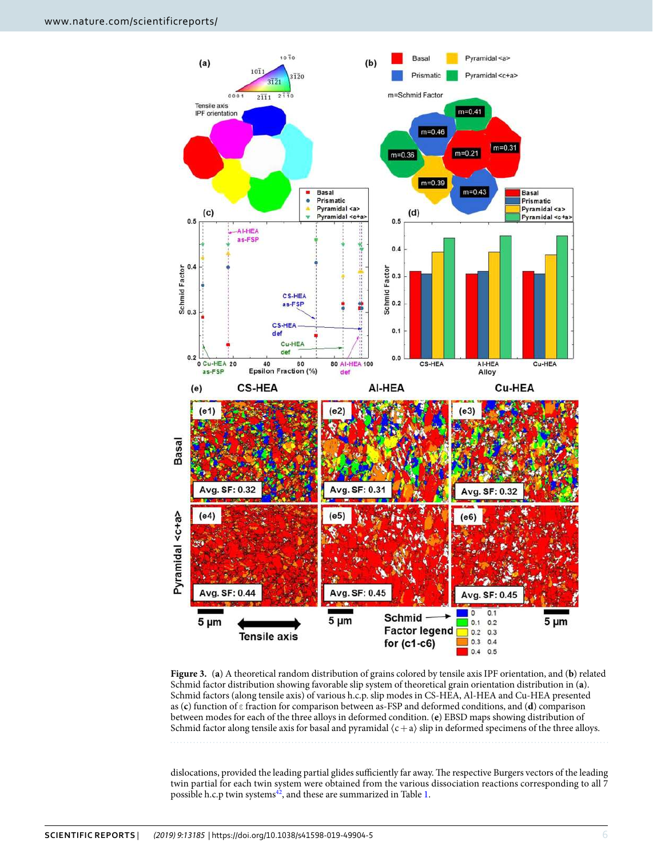

<span id="page-5-0"></span>**Figure 3.** (**a**) A theoretical random distribution of grains colored by tensile axis IPF orientation, and (**b**) related Schmid factor distribution showing favorable slip system of theoretical grain orientation distribution in (**a**). Schmid factors (along tensile axis) of various h.c.p. slip modes in CS-HEA, Al-HEA and Cu-HEA presented as (**c**) function of ε fraction for comparison between as-FSP and deformed conditions, and (**d**) comparison between modes for each of the three alloys in deformed condition. (**e**) EBSD maps showing distribution of Schmid factor along tensile axis for basal and pyramidal  $\langle c + a \rangle$  slip in deformed specimens of the three alloys.

dislocations, provided the leading partial glides sufficiently far away. The respective Burgers vectors of the leading twin partial for each twin system were obtained from the various dissociation reactions corresponding to all 7 possible h.c.p twin systems $42$ , and these are summarized in Table [1.](#page-7-0)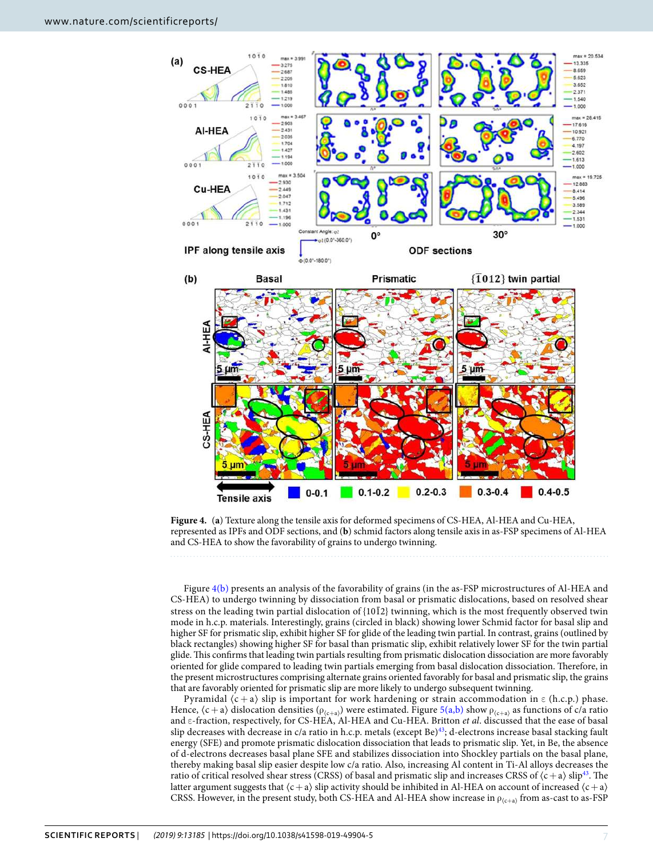

<span id="page-6-0"></span>**Figure 4.** (**a**) Texture along the tensile axis for deformed specimens of CS-HEA, Al-HEA and Cu-HEA, represented as IPFs and ODF sections, and (**b**) schmid factors along tensile axis in as-FSP specimens of Al-HEA and CS-HEA to show the favorability of grains to undergo twinning.

Figure  $4(b)$  presents an analysis of the favorability of grains (in the as-FSP microstructures of Al-HEA and CS-HEA) to undergo twinning by dissociation from basal or prismatic dislocations, based on resolved shear stress on the leading twin partial dislocation of {1012} twinning, which is the most frequently observed twin mode in h.c.p. materials. Interestingly, grains (circled in black) showing lower Schmid factor for basal slip and higher SF for prismatic slip, exhibit higher SF for glide of the leading twin partial. In contrast, grains (outlined by black rectangles) showing higher SF for basal than prismatic slip, exhibit relatively lower SF for the twin partial glide. This confirms that leading twin partials resulting from prismatic dislocation dissociation are more favorably oriented for glide compared to leading twin partials emerging from basal dislocation dissociation. Therefore, in the present microstructures comprising alternate grains oriented favorably for basal and prismatic slip, the grains that are favorably oriented for prismatic slip are more likely to undergo subsequent twinning.

Pyramidal  $\langle c + a \rangle$  slip is important for work hardening or strain accommodation in  $\varepsilon$  (h.c.p.) phase. Hence,  $\langle c + a \rangle$  dislocation densities  $(\rho_{(c+a)})$  were estimated. Figure [5\(a,b\)](#page-8-0) show  $\rho_{(c+a)}$  as functions of c/a ratio and ε-fraction, respectively, for CS-HEA, Al-HEA and Cu-HEA. Britton et al. discussed that the ease of basal slip decreases with decrease in c/a ratio in h.c.p. metals (except Be)<sup>[43](#page-12-19)</sup>; d-electrons increase basal stacking fault energy (SFE) and promote prismatic dislocation dissociation that leads to prismatic slip. Yet, in Be, the absence of d-electrons decreases basal plane SFE and stabilizes dissociation into Shockley partials on the basal plane, thereby making basal slip easier despite low c/a ratio. Also, increasing Al content in Ti-Al alloys decreases the ratio of critical resolved shear stress (CRSS) of basal and prismatic slip and increases CRSS of  $\langle c + a \rangle$  slip<sup>[43](#page-12-19)</sup>. The latter argument suggests that  $\langle c + a \rangle$  slip activity should be inhibited in Al-HEA on account of increased  $\langle c + a \rangle$ CRSS. However, in the present study, both CS-HEA and Al-HEA show increase in  $\rho_{(c+a)}$  from as-cast to as-FSP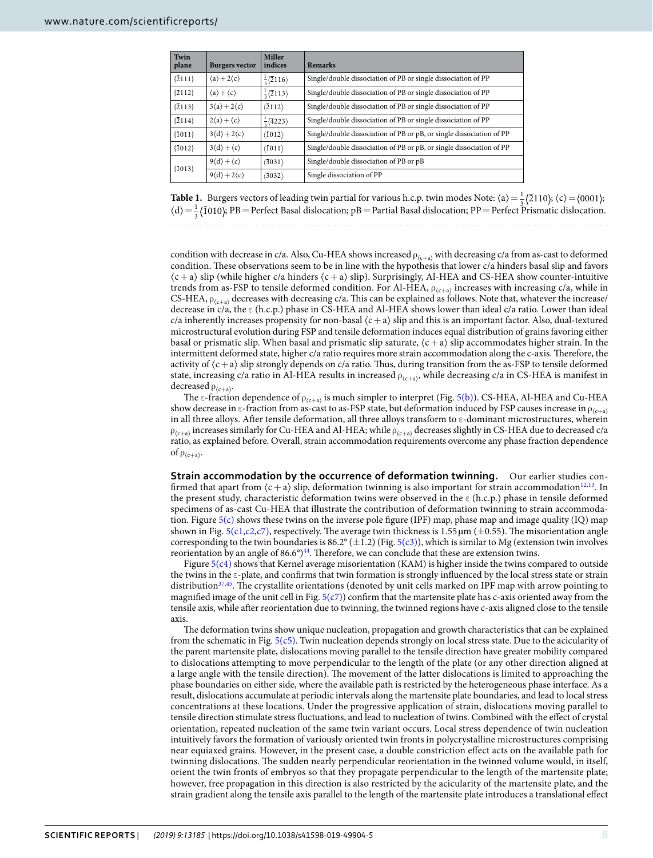<span id="page-7-0"></span>

| Twin<br>plane | <b>Burgers vector</b>                     | Miller<br>indices                           | Remarks                                                              |
|---------------|-------------------------------------------|---------------------------------------------|----------------------------------------------------------------------|
| $\{2111\}$    | $\langle a \rangle + 2\langle c \rangle$  | $\frac{1}{2}$ $\langle 2116 \rangle$        | Single/double dissociation of PB or single dissociation of PP        |
| $\{2112\}$    | $\langle a \rangle + \langle c \rangle$   | $\frac{1}{2}\langle \overline{2}113\rangle$ | Single/double dissociation of PB or single dissociation of PP        |
| $\{2113\}$    | $3\langle a \rangle + 2\langle c \rangle$ | $\langle \overline{2}112 \rangle$           | Single/double dissociation of PB or single dissociation of PP        |
| $\{2114\}$    | $2\langle a \rangle + \langle c \rangle$  | $\frac{1}{2}\langle \overline{4}223\rangle$ | Single/double dissociation of PB or single dissociation of PP        |
| $\{1011\}$    | $3\langle d \rangle + 2\langle c \rangle$ | $\langle 1012 \rangle$                      | Single/double dissociation of PB or pB, or single dissociation of PP |
| ${1012}$      | $3\langle d\rangle + \langle c\rangle$    | $\langle 1011 \rangle$                      | Single/double dissociation of PB or pB, or single dissociation of PP |
| $\{1013\}$    | $9\langle d \rangle + \langle c \rangle$  | $\langle 3031 \rangle$                      | Single/double dissociation of PB or pB                               |
|               | $9\langle d \rangle + 2\langle c \rangle$ | $\langle 3032 \rangle$                      | Single dissociation of PP                                            |

**Table 1.** Burgers vectors of leading twin partial for various h.c.p. twin modes Note:  $\langle a \rangle = \frac{1}{2} \langle \overline{2}110 \rangle$ ;  $\langle c \rangle = \langle 0001 \rangle$ ;  $\langle d \rangle = \frac{1}{3} \langle 1010 \rangle$ ; PB = Perfect Basal dislocation; pB = Partial Basal dislocation; PP = Perfect Prismatic dislocation.

condition with decrease in c/a. Also, Cu-HEA shows increased  $\rho_{(c+a)}$  with decreasing c/a from as-cast to deformed condition. These observations seem to be in line with the hypothesis that lower c/a hinders basal slip and favors  $(c + a)$  slip (while higher c/a hinders  $(c + a)$  slip). Surprisingly, Al-HEA and CS-HEA show counter-intuitive trends from as-FSP to tensile deformed condition. For Al-HEA,  $\rho_{\langle c+a \rangle}$  increases with increasing c/a, while in CS-HEA,  $\rho_{(c+a)}$  decreases with decreasing c/a. This can be explained as follows. Note that, whatever the increase/ decrease in c/a, the ε (h.c.p.) phase in CS-HEA and Al-HEA shows lower than ideal c/a ratio. Lower than ideal c/a inherently increases propensity for non-basal  $\langle c + a \rangle$  slip and this is an important factor. Also, dual-textured microstructural evolution during FSP and tensile deformation induces equal distribution of grains favoring either basal or prismatic slip. When basal and prismatic slip saturate,  $\langle c + a \rangle$  slip accommodates higher strain. In the intermittent deformed state, higher c/a ratio requires more strain accommodation along the c-axis. Therefore, the activity of  $\langle c + a \rangle$  slip strongly depends on c/a ratio. Thus, during transition from the as-FSP to tensile deformed state, increasing c/a ratio in Al-HEA results in increased  $\rho_{\text{(c+a)}},$  while decreasing c/a in CS-HEA is manifest in decreased  $\rho_{\langle c+a \rangle}$ .

The  $\varepsilon$ -fraction dependence of  $\rho_{(c+a)}$  is much simpler to interpret (Fig. [5\(b\)\)](#page-8-0). CS-HEA, Al-HEA and Cu-HEA show decrease in  $\epsilon$ -fraction from as-cast to as-FSP state, but deformation induced by FSP causes increase in  $\rho_{(c+a)}$ in all three alloys. After tensile deformation, all three alloys transform to ε-dominant microstructures, wherein  $\rho_{\text{(c+a)}}$  increases similarly for Cu-HEA and Al-HEA; while  $\rho_{\text{(c+a)}}$  decreases slightly in CS-HEA due to decreased c/a ratio, as explained before. Overall, strain accommodation requirements overcome any phase fraction dependence of  $\rho_{\langle c+a \rangle}$ .

**Strain accommodation by the occurrence of deformation twinning.** Our earlier studies confirmed that apart from  $\langle c + a \rangle$  slip, deformation twinning is also important for strain accommodation<sup>[12](#page-11-6),[13](#page-11-7)</sup>. In the present study, characteristic deformation twins were observed in the ε (h.c.p.) phase in tensile deformed specimens of as-cast Cu-HEA that illustrate the contribution of deformation twinning to strain accommodation. Figure  $5(c)$  shows these twins on the inverse pole figure (IPF) map, phase map and image quality (IQ) map shown in Fig. [5\(c1,c2,c7\),](#page-8-0) respectively. The average twin thickness is 1.55  $\mu$ m ( $\pm$ 0.55). The misorientation angle corresponding to the twin boundaries is 86.2° ( $\pm$ 1.2) (Fig. [5\(c3\)\)](#page-8-0), which is similar to Mg (extension twin involves reorientation by an angle of  $86.6^\circ$ <sup>[44](#page-12-20)</sup>. Therefore, we can conclude that these are extension twins.

Figure  $5(c4)$  shows that Kernel average misorientation (KAM) is higher inside the twins compared to outside the twins in the ε-plate, and confirms that twin formation is strongly influenced by the local stress state or strain distribution[37](#page-12-13)[,45](#page-12-21). The crystallite orientations (denoted by unit cells marked on IPF map with arrow pointing to magnified image of the unit cell in Fig.  $5(c7)$ ) confirm that the martensite plate has c-axis oriented away from the tensile axis, while after reorientation due to twinning, the twinned regions have c-axis aligned close to the tensile axis.

The deformation twins show unique nucleation, propagation and growth characteristics that can be explained from the schematic in Fig. [5\(c5\).](#page-8-0) Twin nucleation depends strongly on local stress state. Due to the acicularity of the parent martensite plate, dislocations moving parallel to the tensile direction have greater mobility compared to dislocations attempting to move perpendicular to the length of the plate (or any other direction aligned at a large angle with the tensile direction). The movement of the latter dislocations is limited to approaching the phase boundaries on either side, where the available path is restricted by the heterogeneous phase interface. As a result, dislocations accumulate at periodic intervals along the martensite plate boundaries, and lead to local stress concentrations at these locations. Under the progressive application of strain, dislocations moving parallel to tensile direction stimulate stress fluctuations, and lead to nucleation of twins. Combined with the effect of crystal orientation, repeated nucleation of the same twin variant occurs. Local stress dependence of twin nucleation intuitively favors the formation of variously oriented twin fronts in polycrystalline microstructures comprising near equiaxed grains. However, in the present case, a double constriction effect acts on the available path for twinning dislocations. The sudden nearly perpendicular reorientation in the twinned volume would, in itself, orient the twin fronts of embryos so that they propagate perpendicular to the length of the martensite plate; however, free propagation in this direction is also restricted by the acicularity of the martensite plate, and the strain gradient along the tensile axis parallel to the length of the martensite plate introduces a translational effect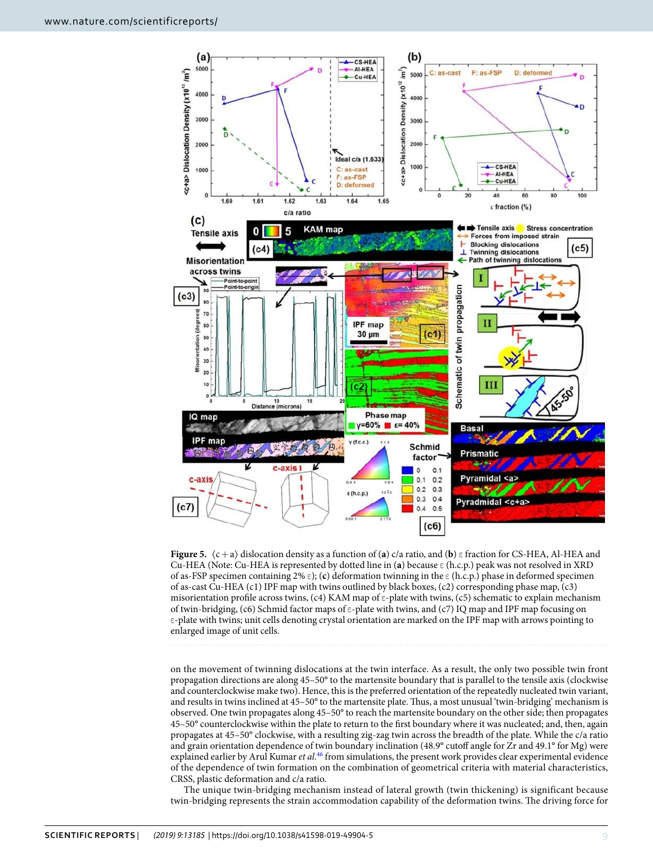

<span id="page-8-0"></span>

on the movement of twinning dislocations at the twin interface. As a result, the only two possible twin front propagation directions are along 45–50° to the martensite boundary that is parallel to the tensile axis (clockwise and counterclockwise make two). Hence, this is the preferred orientation of the repeatedly nucleated twin variant, and results in twins inclined at 45–50° to the martensite plate. Thus, a most unusual 'twin-bridging' mechanism is observed. One twin propagates along 45–50° to reach the martensite boundary on the other side; then propagates 45–50° counterclockwise within the plate to return to the first boundary where it was nucleated; and, then, again propagates at 45–50° clockwise, with a resulting zig-zag twin across the breadth of the plate. While the c/a ratio and grain orientation dependence of twin boundary inclination (48.9° cutoff angle for Zr and 49.1° for Mg) were explained earlier by Arul Kumar et al.<sup>[46](#page-12-22)</sup> from simulations, the present work provides clear experimental evidence of the dependence of twin formation on the combination of geometrical criteria with material characteristics, CRSS, plastic deformation and c/a ratio.

The unique twin-bridging mechanism instead of lateral growth (twin thickening) is significant because twin-bridging represents the strain accommodation capability of the deformation twins. The driving force for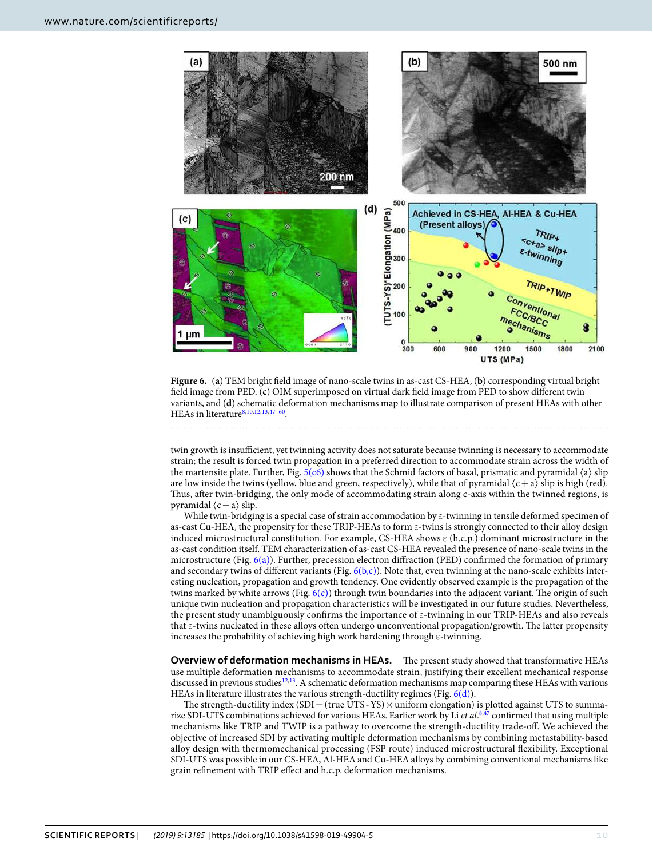

<span id="page-9-0"></span>**Figure 6.** (**a**) TEM bright field image of nano-scale twins in as-cast CS-HEA, (**b**) corresponding virtual bright field image from PED. (**c**) OIM superimposed on virtual dark field image from PED to show different twin variants, and (**d**) schematic deformation mechanisms map to illustrate comparison of present HEAs with other HEAs in literature<sup>[8,](#page-11-4)[10](#page-11-15),[12](#page-11-6),[13](#page-11-7),[47](#page-12-23)-60</sup>.

twin growth is insufficient, yet twinning activity does not saturate because twinning is necessary to accommodate strain; the result is forced twin propagation in a preferred direction to accommodate strain across the width of the martensite plate. Further, Fig. [5\(c6\)](#page-8-0) shows that the Schmid factors of basal, prismatic and pyramidal  $\langle a \rangle$  slip are low inside the twins (yellow, blue and green, respectively), while that of pyramidal  $(c + a)$  slip is high (red). Thus, after twin-bridging, the only mode of accommodating strain along c-axis within the twinned regions, is pyramidal  $\langle c + a \rangle$  slip.

While twin-bridging is a special case of strain accommodation by ε-twinning in tensile deformed specimen of as-cast Cu-HEA, the propensity for these TRIP-HEAs to form ε-twins is strongly connected to their alloy design induced microstructural constitution. For example, CS-HEA shows ε (h.c.p.) dominant microstructure in the as-cast condition itself. TEM characterization of as-cast CS-HEA revealed the presence of nano-scale twins in the microstructure (Fig.  $6(a)$ ). Further, precession electron diffraction (PED) confirmed the formation of primary and secondary twins of different variants (Fig.  $6(b,c)$ ). Note that, even twinning at the nano-scale exhibits interesting nucleation, propagation and growth tendency. One evidently observed example is the propagation of the twins marked by white arrows (Fig. [6\(c\)\)](#page-9-0) through twin boundaries into the adjacent variant. The origin of such unique twin nucleation and propagation characteristics will be investigated in our future studies. Nevertheless, the present study unambiguously confirms the importance of ε-twinning in our TRIP-HEAs and also reveals that ε-twins nucleated in these alloys often undergo unconventional propagation/growth. The latter propensity increases the probability of achieving high work hardening through ε-twinning.

**Overview of deformation mechanisms in HEAs.** The present study showed that transformative HEAs use multiple deformation mechanisms to accommodate strain, justifying their excellent mechanical response discussed in previous studies<sup>[12,](#page-11-6)[13](#page-11-7)</sup>. A schematic deformation mechanisms map comparing these HEAs with various HEAs in literature illustrates the various strength-ductility regimes (Fig. [6\(d\)](#page-9-0)).

The strength-ductility index (SDI = (true UTS - YS)  $\times$  uniform elongation) is plotted against UTS to summa-rize SDI-UTS combinations achieved for various HEAs. Earlier work by Li et al.<sup>[8](#page-11-4)[,47](#page-12-23)</sup> confirmed that using multiple mechanisms like TRIP and TWIP is a pathway to overcome the strength-ductility trade-off. We achieved the objective of increased SDI by activating multiple deformation mechanisms by combining metastability-based alloy design with thermomechanical processing (FSP route) induced microstructural flexibility. Exceptional SDI-UTS was possible in our CS-HEA, Al-HEA and Cu-HEA alloys by combining conventional mechanisms like grain refinement with TRIP effect and h.c.p. deformation mechanisms.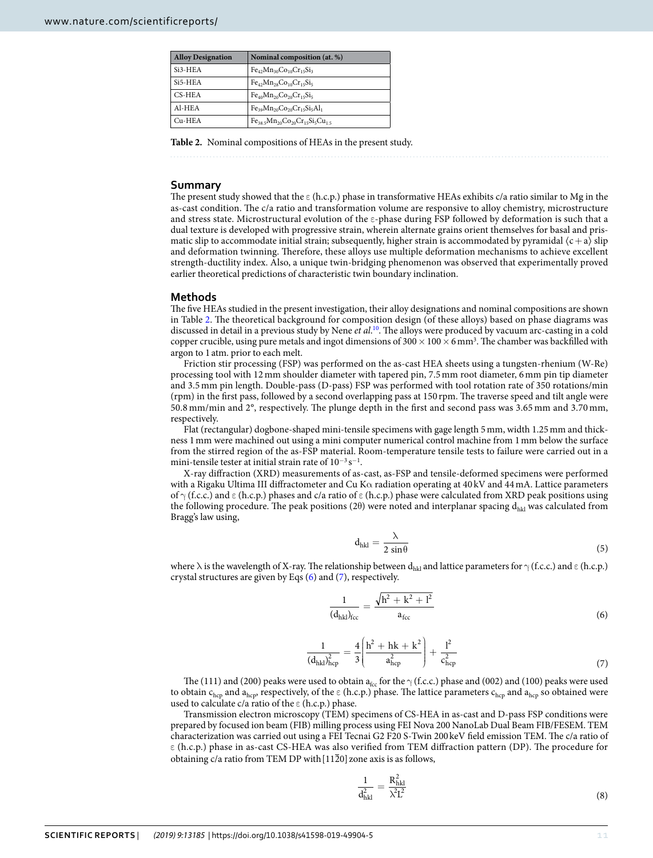<span id="page-10-0"></span>

| <b>Alloy Designation</b> | Nominal composition (at. %)                  |
|--------------------------|----------------------------------------------|
| Si3-HEA                  | $Fe_{42}Mn_{30}Co_{10}Cr_{15}Si_3$           |
| Si5-HEA                  | $Fe_{42}Mn_{28}Co_{10}Cr_{15}Si_5$           |
| CS-HEA                   | $Fe_{40}Mn_{20}Co_{20}Cr_{15}Si_{5}$         |
| Al-HEA                   | $Fe_{39}Mn_{20}Co_{20}Cr_{15}Si_{5}Al_{1}$   |
| Cu-HEA                   | $Fe_{38.5}Mn_{20}Co_{20}Cr_{15}Si_5Cu_{1.5}$ |

**Table 2.** Nominal compositions of HEAs in the present study.

### **Summary**

The present study showed that the  $\varepsilon$  (h.c.p.) phase in transformative HEAs exhibits c/a ratio similar to Mg in the as-cast condition. The c/a ratio and transformation volume are responsive to alloy chemistry, microstructure and stress state. Microstructural evolution of the ε-phase during FSP followed by deformation is such that a dual texture is developed with progressive strain, wherein alternate grains orient themselves for basal and prismatic slip to accommodate initial strain; subsequently, higher strain is accommodated by pyramidal  $\langle c + a \rangle$  slip and deformation twinning. Therefore, these alloys use multiple deformation mechanisms to achieve excellent strength-ductility index. Also, a unique twin-bridging phenomenon was observed that experimentally proved earlier theoretical predictions of characteristic twin boundary inclination.

### **Methods**

The five HEAs studied in the present investigation, their alloy designations and nominal compositions are shown in Table [2.](#page-10-0) The theoretical background for composition design (of these alloys) based on phase diagrams was discussed in detail in a previous study by Nene et al.<sup>[10](#page-11-15)</sup>. The alloys were produced by vacuum arc-casting in a cold copper crucible, using pure metals and ingot dimensions of  $300 \times 100 \times 6$  mm<sup>3</sup>. The chamber was backfilled with argon to 1 atm. prior to each melt.

Friction stir processing (FSP) was performed on the as-cast HEA sheets using a tungsten-rhenium (W-Re) processing tool with 12 mm shoulder diameter with tapered pin, 7.5 mm root diameter, 6 mm pin tip diameter and 3.5 mm pin length. Double-pass (D-pass) FSP was performed with tool rotation rate of 350 rotations/min (rpm) in the first pass, followed by a second overlapping pass at 150 rpm. The traverse speed and tilt angle were 50.8 mm/min and 2°, respectively. The plunge depth in the first and second pass was 3.65 mm and 3.70 mm, respectively.

Flat (rectangular) dogbone-shaped mini-tensile specimens with gage length 5 mm, width 1.25 mm and thickness 1 mm were machined out using a mini computer numerical control machine from 1 mm below the surface from the stirred region of the as-FSP material. Room-temperature tensile tests to failure were carried out in a mini-tensile tester at initial strain rate of  $10^{-3}$  s<sup>-1</sup>.

X-ray diffraction (XRD) measurements of as-cast, as-FSP and tensile-deformed specimens were performed with a Rigaku Ultima III diffractometer and Cu K $\alpha$  radiation operating at 40 kV and 44 mA. Lattice parameters of γ (f.c.c.) and ε (h.c.p.) phases and c/a ratio of ε (h.c.p.) phase were calculated from XRD peak positions using the following procedure. The peak positions (2 $\theta$ ) were noted and interplanar spacing  $d_{hkl}$  was calculated from Bragg's law using,

$$
d_{hkl} = \frac{\lambda}{2\sin\theta} \tag{5}
$$

<span id="page-10-1"></span>where  $\lambda$  is the wavelength of X-ray. The relationship between  $d_{hkl}$  and lattice parameters for  $\gamma$  (f.c.c.) and  $\varepsilon$  (h.c.p.) crystal structures are given by Eqs ([6\)](#page-10-1) and [\(7\)](#page-10-2), respectively.

$$
\frac{1}{(d_{hkl})_{fcc}} = \frac{\sqrt{h^2 + k^2 + l^2}}{a_{fcc}}
$$
(6)

$$
\frac{1}{(d_{hkl})_{\text{hp}}^2} = \frac{4}{3} \left( \frac{h^2 + hk + k^2}{a_{\text{hep}}^2} \right) + \frac{l^2}{c_{\text{hep}}^2} \tag{7}
$$

<span id="page-10-2"></span>The (111) and (200) peaks were used to obtain  $a_{\text{fcc}}$  for the  $\gamma$  (f.c.c.) phase and (002) and (100) peaks were used to obtain  $c_{\text{hcp}}$  and  $a_{\text{hcp}}$ , respectively, of the  $\varepsilon$  (h.c.p.) phase. The lattice parameters  $c_{\text{hcp}}$  and  $a_{\text{hcp}}$  so obtained were used to calculate c/a ratio of the  $\varepsilon$  (h.c.p.) phase.

<span id="page-10-3"></span>Transmission electron microscopy (TEM) specimens of CS-HEA in as-cast and D-pass FSP conditions were prepared by focused ion beam (FIB) milling process using FEI Nova 200 NanoLab Dual Beam FIB/FESEM. TEM characterization was carried out using a FEI Tecnai G2 F20 S-Twin 200 keV field emission TEM. The c/a ratio of ε (h.c.p.) phase in as-cast CS-HEA was also verified from TEM diffraction pattern (DP). The procedure for obtaining c/a ratio from TEM DP with [1120] zone axis is as follows,

$$
\frac{1}{d_{hkl}^2} = \frac{R_{hkl}^2}{\lambda^2 L^2}
$$
\n(8)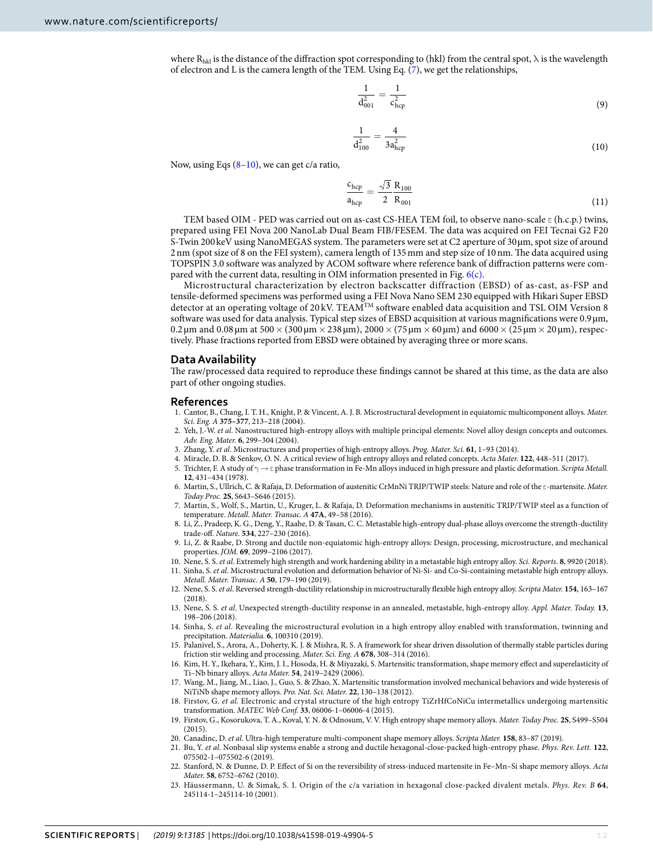where  $R_{hkl}$  is the distance of the diffraction spot corresponding to (hkl) from the central spot,  $\lambda$  is the wavelength of electron and L is the camera length of the TEM. Using Eq. [\(7\)](#page-10-2), we get the relationships,

$$
\frac{1}{d_{001}^2} = \frac{1}{c_{\text{hp}}^2} \tag{9}
$$

$$
\frac{1}{d_{100}^2} = \frac{4}{3a_{\text{hp}}^2} \tag{10}
$$

<span id="page-11-16"></span>Now, using Eqs  $(8-10)$  $(8-10)$ , we can get c/a ratio,

$$
\frac{c_{\text{hcp}}}{a_{\text{hcp}}} = \frac{\sqrt{3} R_{100}}{2 R_{001}}
$$
\n(11)

TEM based OIM - PED was carried out on as-cast CS-HEA TEM foil, to observe nano-scale ε (h.c.p.) twins, prepared using FEI Nova 200 NanoLab Dual Beam FIB/FESEM. The data was acquired on FEI Tecnai G2 F20 S-Twin 200 keV using NanoMEGAS system. The parameters were set at C2 aperture of 30 µm, spot size of around 2 nm (spot size of 8 on the FEI system), camera length of 135 mm and step size of 10 nm. The data acquired using TOPSPIN 3.0 software was analyzed by ACOM software where reference bank of diffraction patterns were compared with the current data, resulting in OIM information presented in Fig. [6\(c\).](#page-9-0)

Microstructural characterization by electron backscatter diffraction (EBSD) of as-cast, as-FSP and tensile-deformed specimens was performed using a FEI Nova Nano SEM 230 equipped with Hikari Super EBSD detector at an operating voltage of 20 kV. TEAM<sup>TM</sup> software enabled data acquisition and TSL OIM Version 8 software was used for data analysis. Typical step sizes of EBSD acquisition at various magnifications were 0.9 µm, 0.2  $\mu$ m and 0.08  $\mu$ m at 500 × (300  $\mu$ m × 238  $\mu$ m), 2000 × (75  $\mu$ m × 60  $\mu$ m) and 6000 × (25  $\mu$ m × 20 $\mu$ m), respectively. Phase fractions reported from EBSD were obtained by averaging three or more scans.

#### **Data Availability**

The raw/processed data required to reproduce these findings cannot be shared at this time, as the data are also part of other ongoing studies.

#### **References**

- <span id="page-11-0"></span> 1. Cantor, B., Chang, I. T. H., Knight, P. & Vincent, A. J. B. Microstructural development in equiatomic multicomponent alloys. Mater. Sci. Eng. A **375–377**, 213–218 (2004).
- 2. Yeh, J.-W. et al. Nanostructured high-entropy alloys with multiple principal elements: Novel alloy design concepts and outcomes. Adv. Eng. Mater. **6**, 299–304 (2004).
- 3. Zhang, Y. et al. Microstructures and properties of high-entropy alloys. Prog. Mater. Sci. **61**, 1–93 (2014).
- <span id="page-11-1"></span>4. Miracle, D. B. & Senkov, O. N. A critical review of high entropy alloys and related concepts. Acta Mater. **122**, 448–511 (2017).
- <span id="page-11-2"></span>5. Trichter, F. A study of  $\gamma \to \varepsilon$  phase transformation in Fe-Mn alloys induced in high pressure and plastic deformation. Scripta Metall. **12**, 431–434 (1978).
- 6. Martin, S., Ullrich, C. & Rafaja, D. Deformation of austenitic CrMnNi TRIP/TWIP steels: Nature and role of the ε-martensite. Mater. Today Proc. **2S**, S643–S646 (2015).
- <span id="page-11-3"></span> 7. Martin, S., Wolf, S., Martin, U., Kruger, L. & Rafaja, D. Deformation mechanisms in austenitic TRIP/TWIP steel as a function of temperature. Metall. Mater. Transac. A **47A**, 49–58 (2016).
- <span id="page-11-4"></span> 8. Li, Z., Pradeep, K. G., Deng, Y., Raabe, D. & Tasan, C. C. Metastable high-entropy dual-phase alloys overcome the strength-ductility trade-off. Nature. **534**, 227–230 (2016).
- 9. Li, Z. & Raabe, D. Strong and ductile non-equiatomic high-entropy alloys: Design, processing, microstructure, and mechanical properties. JOM. **69**, 2099–2106 (2017).
- <span id="page-11-15"></span>10. Nene, S. S. et al. Extremely high strength and work hardening ability in a metastable high entropy alloy. Sci. Reports. **8**, 9920 (2018).
- <span id="page-11-5"></span> 11. Sinha, S. et al. Microstructural evolution and deformation behavior of Ni-Si- and Co-Si-containing metastable high entropy alloys. Metall. Mater. Transac. A **50**, 179–190 (2019).
- <span id="page-11-6"></span> 12. Nene, S. S. et al. Reversed strength-ductility relationship in microstructurally flexible high entropy alloy. Scripta Mater. **154**, 163–167 (2018).
- <span id="page-11-7"></span> 13. Nene, S. S. et al. Unexpected strength-ductility response in an annealed, metastable, high-entropy alloy. Appl. Mater. Today. **13**, 198–206 (2018).
- <span id="page-11-8"></span> 14. Sinha, S. et al. Revealing the microstructural evolution in a high entropy alloy enabled with transformation, twinning and precipitation. Materialia. **6**, 100310 (2019).
- <span id="page-11-9"></span> 15. Palanivel, S., Arora, A., Doherty, K. J. & Mishra, R. S. A framework for shear driven dissolution of thermally stable particles during friction stir welding and processing. Mater. Sci. Eng. A **678**, 308–314 (2016).
- <span id="page-11-10"></span> 16. Kim, H. Y., Ikehara, Y., Kim, J. I., Hosoda, H. & Miyazaki, S. Martensitic transformation, shape memory effect and superelasticity of Ti–Nb binary alloys. Acta Mater. **54**, 2419–2429 (2006).
- 17. Wang, M., Jiang, M., Liao, J., Guo, S. & Zhao, X. Martensitic transformation involved mechanical behaviors and wide hysteresis of NiTiNb shape memory alloys. Pro. Nat. Sci. Mater. **22**, 130–138 (2012).
- 18. Firstov, G. et al. Electronic and crystal structure of the high entropy TiZrHfCoNiCu intermetallics undergoing martensitic transformation. MATEC Web Conf. **33**, 06006-1–06006-4 (2015).
- 19. Firstov, G., Kosorukova, T. A., Koval, Y. N. & Odnosum, V. V. High entropy shape memory alloys. Mater. Today Proc. **2S**, S499–S504 (2015).
- <span id="page-11-11"></span>20. Canadinc, D. et al. Ultra-high temperature multi-component shape memory alloys. Scripta Mater. **158**, 83–87 (2019).
- <span id="page-11-12"></span> 21. Bu, Y. et al. Nonbasal slip systems enable a strong and ductile hexagonal-close-packed high-entropy phase. Phys. Rev. Lett. **122**, 075502-1–075502-6 (2019).
- <span id="page-11-13"></span> 22. Stanford, N. & Dunne, D. P. Effect of Si on the reversibility of stress-induced martensite in Fe–Mn–Si shape memory alloys. Acta Mater. **58**, 6752–6762 (2010).
- <span id="page-11-14"></span> 23. Häussermann, U. & Simak, S. I. Origin of the c/a variation in hexagonal close-packed divalent metals. Phys. Rev. B **64**, 245114-1–245114-10 (2001).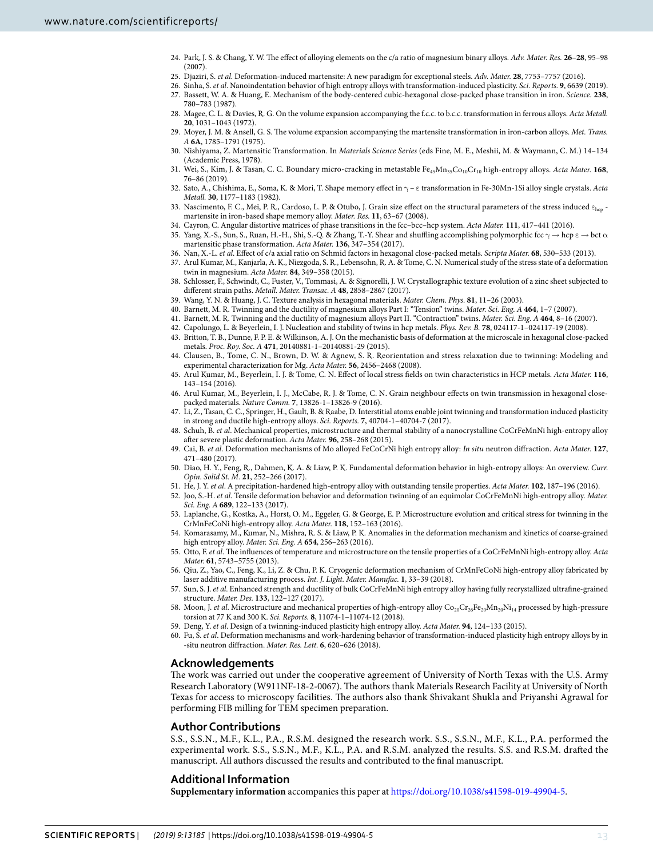- <span id="page-12-0"></span> 24. Park, J. S. & Chang, Y. W. The effect of alloying elements on the c/a ratio of magnesium binary alloys. Adv. Mater. Res. **26–28**, 95–98  $(2007)$
- <span id="page-12-1"></span>25. Djaziri, S. et al. Deformation-induced martensite: A new paradigm for exceptional steels. Adv. Mater. **28**, 7753–7757 (2016).
- <span id="page-12-3"></span><span id="page-12-2"></span> 26. Sinha, S. et al. Nanoindentation behavior of high entropy alloys with transformation-induced plasticity. Sci. Reports. **9**, 6639 (2019). 27. Bassett, W. A. & Huang, E. Mechanism of the body-centered cubic-hexagonal close-packed phase transition in iron. Science. **238**,
- 780–783 (1987).
- <span id="page-12-4"></span>28. Magee, C. L. & Davies, R. G. On the volume expansion accompanying the f.c.c. to b.c.c. transformation in ferrous alloys. Acta Metall. **20**, 1031–1043 (1972).
- <span id="page-12-5"></span> 29. Moyer, J. M. & Ansell, G. S. The volume expansion accompanying the martensite transformation in iron-carbon alloys. Met. Trans. A **6A**, 1785–1791 (1975).
- <span id="page-12-6"></span> 30. Nishiyama, Z. Martensitic Transformation. In Materials Science Series (eds Fine, M. E., Meshii, M. & Waymann, C. M.) 14–134 (Academic Press, 1978).
- <span id="page-12-7"></span>Vei, S., Kim, J. & Tasan, C. C. Boundary micro-cracking in metastable Fe<sub>45</sub>Mn<sub>35</sub>Co<sub>10</sub>Cr<sub>10</sub> high-entropy alloys. Acta Mater. **168**, 76–86 (2019).
- <span id="page-12-8"></span>32. Sato, A., Chishima, E., Soma, K. & Mori, T. Shape memory effect in  $\gamma - \epsilon$  transformation in Fe-30Mn-1Si alloy single crystals. Acta Metall. **30**, 1177–1183 (1982).
- <span id="page-12-9"></span>33. Nascimento, F. C., Mei, P. R., Cardoso, L. P. & Otubo, J. Grain size effect on the structural parameters of the stress induced  $\varepsilon_{\text{hor}}$ martensite in iron-based shape memory alloy. Mater. Res. **11**, 63–67 (2008).
- <span id="page-12-10"></span>34. Cayron, C. Angular distortive matrices of phase transitions in the fcc–bcc–hcp system. Acta Mater. **111**, 417–441 (2016).
- <span id="page-12-11"></span>35. Yang, X.-S., Sun, S., Ruan, H.-H., Shi, S.-Q. & Zhang, T.-Y. Shear and shuffling accomplishing polymorphic fcc  $\gamma \to hcp \epsilon \to bct$   $\alpha$ martensitic phase transformation. Acta Mater. **136**, 347–354 (2017).
- <span id="page-12-12"></span>36. Nan, X.-L. et al. Effect of c/a axial ratio on Schmid factors in hexagonal close-packed metals. Scripta Mater. **68**, 530–533 (2013).
- <span id="page-12-13"></span> 37. Arul Kumar, M., Kanjarla, A. K., Niezgoda, S. R., Lebensohn, R. A. & Tome, C. N. Numerical study of the stress state of a deformation twin in magnesium. Acta Mater. **84**, 349–358 (2015).
- <span id="page-12-14"></span> 38. Schlosser, F., Schwindt, C., Fuster, V., Tommasi, A. & Signorelli, J. W. Crystallographic texture evolution of a zinc sheet subjected to different strain paths. Metall. Mater. Transac. A **48**, 2858–2867 (2017).
- <span id="page-12-15"></span>39. Wang, Y. N. & Huang, J. C. Texture analysis in hexagonal materials. Mater. Chem. Phys. **81**, 11–26 (2003).
- <span id="page-12-16"></span>40. Barnett, M. R. Twinning and the ductility of magnesium alloys Part I: "Tension" twins. Mater. Sci. Eng. A **464**, 1–7 (2007).
- <span id="page-12-17"></span>41. Barnett, M. R. Twinning and the ductility of magnesium alloys Part II. "Contraction" twins. Mater. Sci. Eng. A **464**, 8–16 (2007).
- <span id="page-12-18"></span>42. Capolungo, L. & Beyerlein, I. J. Nucleation and stability of twins in hcp metals. Phys. Rev. B. **78**, 024117-1–024117-19 (2008).
- <span id="page-12-19"></span> 43. Britton, T. B., Dunne, F. P. E. & Wilkinson, A. J. On the mechanistic basis of deformation at the microscale in hexagonal close-packed metals. Proc. Roy. Soc. A **471**, 20140881-1–20140881-29 (2015).
- <span id="page-12-20"></span> 44. Clausen, B., Tome, C. N., Brown, D. W. & Agnew, S. R. Reorientation and stress relaxation due to twinning: Modeling and experimental characterization for Mg. Acta Mater. **56**, 2456–2468 (2008).
- <span id="page-12-21"></span> 45. Arul Kumar, M., Beyerlein, I. J. & Tome, C. N. Effect of local stress fields on twin characteristics in HCP metals. Acta Mater. **116**, 143–154 (2016).
- <span id="page-12-22"></span> 46. Arul Kumar, M., Beyerlein, I. J., McCabe, R. J. & Tome, C. N. Grain neighbour effects on twin transmission in hexagonal closepacked materials. Nature Comm. **7**, 13826-1–13826-9 (2016).
- <span id="page-12-23"></span> 47. Li, Z., Tasan, C. C., Springer, H., Gault, B. & Raabe, D. Interstitial atoms enable joint twinning and transformation induced plasticity in strong and ductile high-entropy alloys. Sci. Reports. **7**, 40704-1–40704-7 (2017).
- 48. Schuh, B. et al. Mechanical properties, microstructure and thermal stability of a nanocrystalline CoCrFeMnNi high-entropy alloy after severe plastic deformation. Acta Mater. **96**, 258–268 (2015).
- 49. Cai, B. et al. Deformation mechanisms of Mo alloyed FeCoCrNi high entropy alloy: In situ neutron diffraction. Acta Mater. **127**, 471–480 (2017).
- 50. Diao, H. Y., Feng, R., Dahmen, K. A. & Liaw, P. K. Fundamental deformation behavior in high-entropy alloys: An overview. Curr. Opin. Solid St. M. **21**, 252–266 (2017).
- 51. He, J. Y. et al. A precipitation-hardened high-entropy alloy with outstanding tensile properties. Acta Mater. **102**, 187–196 (2016).
- 52. Joo, S.-H. et al. Tensile deformation behavior and deformation twinning of an equimolar CoCrFeMnNi high-entropy alloy. Mater. Sci. Eng. A **689**, 122–133 (2017).
- 53. Laplanche, G., Kostka, A., Horst, O. M., Eggeler, G. & George, E. P. Microstructure evolution and critical stress for twinning in the CrMnFeCoNi high-entropy alloy. Acta Mater. **118**, 152–163 (2016).
- 54. Komarasamy, M., Kumar, N., Mishra, R. S. & Liaw, P. K. Anomalies in the deformation mechanism and kinetics of coarse-grained high entropy alloy. Mater. Sci. Eng. A **654**, 256–263 (2016).
- 55. Otto, F. et al. The influences of temperature and microstructure on the tensile properties of a CoCrFeMnNi high-entropy alloy. Acta Mater. **61**, 5743–5755 (2013).
- 56. Qiu, Z., Yao, C., Feng, K., Li, Z. & Chu, P. K. Cryogenic deformation mechanism of CrMnFeCoNi high-entropy alloy fabricated by laser additive manufacturing process. Int. J. Light. Mater. Manufac. **1**, 33–39 (2018).
- 57. Sun, S. J. et al. Enhanced strength and ductility of bulk CoCrFeMnNi high entropy alloy having fully recrystallized ultrafine-grained structure. Mater. Des. **133**, 122–127 (2017).
- 58. Moon, J. et al. Microstructure and mechanical properties of high-entropy alloy  $\rm{Co_{20}Cr_{26}Fe_{20}Mn_{20}Ni_{14}}$  processed by high-pressure torsion at 77 K and 300 K. Sci. Reports. **8**, 11074-1–11074-12 (2018).
- 59. Deng, Y. et al. Design of a twinning-induced plasticity high entropy alloy. Acta Mater. **94**, 124–133 (2015).
- <span id="page-12-24"></span> 60. Fu, S. et al. Deformation mechanisms and work-hardening behavior of transformation-induced plasticity high entropy alloys by in -situ neutron diffraction. Mater. Res. Lett. **6**, 620–626 (2018).

# **Acknowledgements**

The work was carried out under the cooperative agreement of University of North Texas with the U.S. Army Research Laboratory (W911NF-18-2-0067). The authors thank Materials Research Facility at University of North Texas for access to microscopy facilities. The authors also thank Shivakant Shukla and Priyanshi Agrawal for performing FIB milling for TEM specimen preparation.

# **Author Contributions**

S.S., S.S.N., M.F., K.L., P.A., R.S.M. designed the research work. S.S., S.S.N., M.F., K.L., P.A. performed the experimental work. S.S., S.S.N., M.F., K.L., P.A. and R.S.M. analyzed the results. S.S. and R.S.M. drafted the manuscript. All authors discussed the results and contributed to the final manuscript.

# **Additional Information**

**Supplementary information** accompanies this paper at [https://doi.org/10.1038/s41598-019-49904-5.](https://doi.org/10.1038/s41598-019-49904-5)